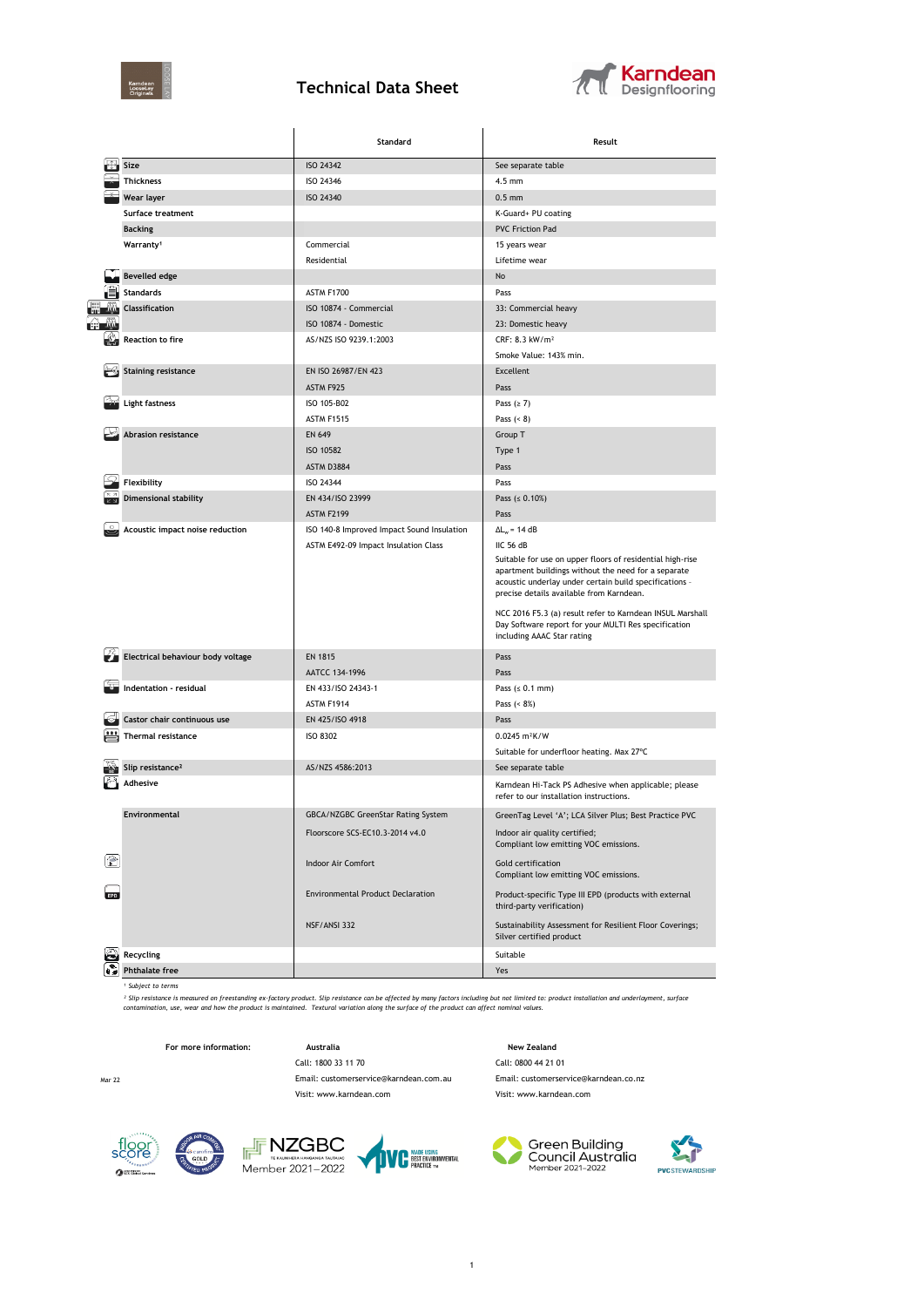

## **Technical Data Sheet**



| ISO 24342<br>Size<br>See separate table<br><b>Thickness</b><br>ISO 24346<br>$4.5$ mm<br>Wear layer<br>ISO 24340<br>$0.5$ mm<br>K-Guard+ PU coating<br>Surface treatment<br><b>PVC Friction Pad</b><br><b>Backing</b><br>Warranty <sup>1</sup><br>Commercial<br>15 years wear<br>Residential<br>Lifetime wear<br><b>Bevelled edge</b><br>No<br><b>Standards</b><br>ASTM F1700<br>Pass<br><b>Classification</b><br>ISO 10874 - Commercial<br>33: Commercial heavy<br>ISO 10874 - Domestic<br>23: Domestic heavy<br><b>Reaction to fire</b><br>AS/NZS ISO 9239.1:2003<br>CRF: 8.3 kW/m <sup>2</sup><br>Smoke Value: 143% min.<br><b>Staining resistance</b><br>EN ISO 26987/EN 423<br>Excellent<br>ASTM F925<br>Pass<br><b>Light fastness</b><br>ISO 105-B02<br>Pass $(≥ 7)$<br>ASTM F1515<br>Pass $(8)$<br><b>Abrasion resistance</b><br><b>EN 649</b><br>Group T<br>ISO 10582<br>Type 1<br>ASTM D3884<br>Pass<br>Flexibility<br>ISO 24344<br>Pass<br><b>Dimensional stability</b><br>EN 434/ISO 23999<br>Pass ( $\leq 0.10\%)$<br><b>ASTM F2199</b><br>Pass<br>Acoustic impact noise reduction<br>$\Delta L_w = 14 dB$<br>ISO 140-8 Improved Impact Sound Insulation<br>ASTM E492-09 Impact Insulation Class<br>IIC 56 dB<br>Suitable for use on upper floors of residential high-rise<br>apartment buildings without the need for a separate<br>acoustic underlay under certain build specifications -<br>precise details available from Karndean.<br>NCC 2016 F5.3 (a) result refer to Karndean INSUL Marshall |  |
|-----------------------------------------------------------------------------------------------------------------------------------------------------------------------------------------------------------------------------------------------------------------------------------------------------------------------------------------------------------------------------------------------------------------------------------------------------------------------------------------------------------------------------------------------------------------------------------------------------------------------------------------------------------------------------------------------------------------------------------------------------------------------------------------------------------------------------------------------------------------------------------------------------------------------------------------------------------------------------------------------------------------------------------------------------------------------------------------------------------------------------------------------------------------------------------------------------------------------------------------------------------------------------------------------------------------------------------------------------------------------------------------------------------------------------------------------------------------------------------------------------------------|--|
|                                                                                                                                                                                                                                                                                                                                                                                                                                                                                                                                                                                                                                                                                                                                                                                                                                                                                                                                                                                                                                                                                                                                                                                                                                                                                                                                                                                                                                                                                                                 |  |
|                                                                                                                                                                                                                                                                                                                                                                                                                                                                                                                                                                                                                                                                                                                                                                                                                                                                                                                                                                                                                                                                                                                                                                                                                                                                                                                                                                                                                                                                                                                 |  |
|                                                                                                                                                                                                                                                                                                                                                                                                                                                                                                                                                                                                                                                                                                                                                                                                                                                                                                                                                                                                                                                                                                                                                                                                                                                                                                                                                                                                                                                                                                                 |  |
|                                                                                                                                                                                                                                                                                                                                                                                                                                                                                                                                                                                                                                                                                                                                                                                                                                                                                                                                                                                                                                                                                                                                                                                                                                                                                                                                                                                                                                                                                                                 |  |
|                                                                                                                                                                                                                                                                                                                                                                                                                                                                                                                                                                                                                                                                                                                                                                                                                                                                                                                                                                                                                                                                                                                                                                                                                                                                                                                                                                                                                                                                                                                 |  |
|                                                                                                                                                                                                                                                                                                                                                                                                                                                                                                                                                                                                                                                                                                                                                                                                                                                                                                                                                                                                                                                                                                                                                                                                                                                                                                                                                                                                                                                                                                                 |  |
|                                                                                                                                                                                                                                                                                                                                                                                                                                                                                                                                                                                                                                                                                                                                                                                                                                                                                                                                                                                                                                                                                                                                                                                                                                                                                                                                                                                                                                                                                                                 |  |
|                                                                                                                                                                                                                                                                                                                                                                                                                                                                                                                                                                                                                                                                                                                                                                                                                                                                                                                                                                                                                                                                                                                                                                                                                                                                                                                                                                                                                                                                                                                 |  |
|                                                                                                                                                                                                                                                                                                                                                                                                                                                                                                                                                                                                                                                                                                                                                                                                                                                                                                                                                                                                                                                                                                                                                                                                                                                                                                                                                                                                                                                                                                                 |  |
|                                                                                                                                                                                                                                                                                                                                                                                                                                                                                                                                                                                                                                                                                                                                                                                                                                                                                                                                                                                                                                                                                                                                                                                                                                                                                                                                                                                                                                                                                                                 |  |
|                                                                                                                                                                                                                                                                                                                                                                                                                                                                                                                                                                                                                                                                                                                                                                                                                                                                                                                                                                                                                                                                                                                                                                                                                                                                                                                                                                                                                                                                                                                 |  |
|                                                                                                                                                                                                                                                                                                                                                                                                                                                                                                                                                                                                                                                                                                                                                                                                                                                                                                                                                                                                                                                                                                                                                                                                                                                                                                                                                                                                                                                                                                                 |  |
|                                                                                                                                                                                                                                                                                                                                                                                                                                                                                                                                                                                                                                                                                                                                                                                                                                                                                                                                                                                                                                                                                                                                                                                                                                                                                                                                                                                                                                                                                                                 |  |
|                                                                                                                                                                                                                                                                                                                                                                                                                                                                                                                                                                                                                                                                                                                                                                                                                                                                                                                                                                                                                                                                                                                                                                                                                                                                                                                                                                                                                                                                                                                 |  |
|                                                                                                                                                                                                                                                                                                                                                                                                                                                                                                                                                                                                                                                                                                                                                                                                                                                                                                                                                                                                                                                                                                                                                                                                                                                                                                                                                                                                                                                                                                                 |  |
|                                                                                                                                                                                                                                                                                                                                                                                                                                                                                                                                                                                                                                                                                                                                                                                                                                                                                                                                                                                                                                                                                                                                                                                                                                                                                                                                                                                                                                                                                                                 |  |
|                                                                                                                                                                                                                                                                                                                                                                                                                                                                                                                                                                                                                                                                                                                                                                                                                                                                                                                                                                                                                                                                                                                                                                                                                                                                                                                                                                                                                                                                                                                 |  |
|                                                                                                                                                                                                                                                                                                                                                                                                                                                                                                                                                                                                                                                                                                                                                                                                                                                                                                                                                                                                                                                                                                                                                                                                                                                                                                                                                                                                                                                                                                                 |  |
|                                                                                                                                                                                                                                                                                                                                                                                                                                                                                                                                                                                                                                                                                                                                                                                                                                                                                                                                                                                                                                                                                                                                                                                                                                                                                                                                                                                                                                                                                                                 |  |
|                                                                                                                                                                                                                                                                                                                                                                                                                                                                                                                                                                                                                                                                                                                                                                                                                                                                                                                                                                                                                                                                                                                                                                                                                                                                                                                                                                                                                                                                                                                 |  |
|                                                                                                                                                                                                                                                                                                                                                                                                                                                                                                                                                                                                                                                                                                                                                                                                                                                                                                                                                                                                                                                                                                                                                                                                                                                                                                                                                                                                                                                                                                                 |  |
|                                                                                                                                                                                                                                                                                                                                                                                                                                                                                                                                                                                                                                                                                                                                                                                                                                                                                                                                                                                                                                                                                                                                                                                                                                                                                                                                                                                                                                                                                                                 |  |
|                                                                                                                                                                                                                                                                                                                                                                                                                                                                                                                                                                                                                                                                                                                                                                                                                                                                                                                                                                                                                                                                                                                                                                                                                                                                                                                                                                                                                                                                                                                 |  |
|                                                                                                                                                                                                                                                                                                                                                                                                                                                                                                                                                                                                                                                                                                                                                                                                                                                                                                                                                                                                                                                                                                                                                                                                                                                                                                                                                                                                                                                                                                                 |  |
|                                                                                                                                                                                                                                                                                                                                                                                                                                                                                                                                                                                                                                                                                                                                                                                                                                                                                                                                                                                                                                                                                                                                                                                                                                                                                                                                                                                                                                                                                                                 |  |
| Day Software report for your MULTI Res specification<br>including AAAC Star rating                                                                                                                                                                                                                                                                                                                                                                                                                                                                                                                                                                                                                                                                                                                                                                                                                                                                                                                                                                                                                                                                                                                                                                                                                                                                                                                                                                                                                              |  |
| Electrical behaviour body voltage<br><b>EN 1815</b><br>Pass                                                                                                                                                                                                                                                                                                                                                                                                                                                                                                                                                                                                                                                                                                                                                                                                                                                                                                                                                                                                                                                                                                                                                                                                                                                                                                                                                                                                                                                     |  |
| AATCC 134-1996<br>Pass                                                                                                                                                                                                                                                                                                                                                                                                                                                                                                                                                                                                                                                                                                                                                                                                                                                                                                                                                                                                                                                                                                                                                                                                                                                                                                                                                                                                                                                                                          |  |
| Indentation - residual<br>EN 433/ISO 24343-1<br>Pass ( $\leq 0.1$ mm)                                                                                                                                                                                                                                                                                                                                                                                                                                                                                                                                                                                                                                                                                                                                                                                                                                                                                                                                                                                                                                                                                                                                                                                                                                                                                                                                                                                                                                           |  |
| ASTM F1914<br>Pass (< 8%)                                                                                                                                                                                                                                                                                                                                                                                                                                                                                                                                                                                                                                                                                                                                                                                                                                                                                                                                                                                                                                                                                                                                                                                                                                                                                                                                                                                                                                                                                       |  |
| Castor chair continuous use<br>EN 425/ISO 4918<br>Pass                                                                                                                                                                                                                                                                                                                                                                                                                                                                                                                                                                                                                                                                                                                                                                                                                                                                                                                                                                                                                                                                                                                                                                                                                                                                                                                                                                                                                                                          |  |
| Thermal resistance<br><b>ISO 8302</b><br>0.0245 m <sup>2</sup> K/W                                                                                                                                                                                                                                                                                                                                                                                                                                                                                                                                                                                                                                                                                                                                                                                                                                                                                                                                                                                                                                                                                                                                                                                                                                                                                                                                                                                                                                              |  |
| Suitable for underfloor heating. Max 27°C                                                                                                                                                                                                                                                                                                                                                                                                                                                                                                                                                                                                                                                                                                                                                                                                                                                                                                                                                                                                                                                                                                                                                                                                                                                                                                                                                                                                                                                                       |  |
| Slip resistance <sup>2</sup><br>AS/NZS 4586:2013<br>See separate table                                                                                                                                                                                                                                                                                                                                                                                                                                                                                                                                                                                                                                                                                                                                                                                                                                                                                                                                                                                                                                                                                                                                                                                                                                                                                                                                                                                                                                          |  |
| Adhesive<br>Karndean Hi-Tack PS Adhesive when applicable; please<br>refer to our installation instructions.                                                                                                                                                                                                                                                                                                                                                                                                                                                                                                                                                                                                                                                                                                                                                                                                                                                                                                                                                                                                                                                                                                                                                                                                                                                                                                                                                                                                     |  |
| Environmental<br>GreenTag Level 'A'; LCA Silver Plus; Best Practice PVC<br>GBCA/NZGBC GreenStar Rating System                                                                                                                                                                                                                                                                                                                                                                                                                                                                                                                                                                                                                                                                                                                                                                                                                                                                                                                                                                                                                                                                                                                                                                                                                                                                                                                                                                                                   |  |
|                                                                                                                                                                                                                                                                                                                                                                                                                                                                                                                                                                                                                                                                                                                                                                                                                                                                                                                                                                                                                                                                                                                                                                                                                                                                                                                                                                                                                                                                                                                 |  |
| Indoor air quality certified;<br>Floorscore SCS-EC10.3-2014 v4.0<br>Compliant low emitting VOC emissions.                                                                                                                                                                                                                                                                                                                                                                                                                                                                                                                                                                                                                                                                                                                                                                                                                                                                                                                                                                                                                                                                                                                                                                                                                                                                                                                                                                                                       |  |
| Indoor Air Comfort<br>Gold certification<br>Compliant low emitting VOC emissions.                                                                                                                                                                                                                                                                                                                                                                                                                                                                                                                                                                                                                                                                                                                                                                                                                                                                                                                                                                                                                                                                                                                                                                                                                                                                                                                                                                                                                               |  |
| <b>Environmental Product Declaration</b><br>Product-specific Type III EPD (products with external<br><b>EPD</b><br>third-party verification)                                                                                                                                                                                                                                                                                                                                                                                                                                                                                                                                                                                                                                                                                                                                                                                                                                                                                                                                                                                                                                                                                                                                                                                                                                                                                                                                                                    |  |
| NSF/ANSI 332<br>Sustainability Assessment for Resilient Floor Coverings;<br>Silver certified product                                                                                                                                                                                                                                                                                                                                                                                                                                                                                                                                                                                                                                                                                                                                                                                                                                                                                                                                                                                                                                                                                                                                                                                                                                                                                                                                                                                                            |  |
| 2<br>Recycling<br>Suitable                                                                                                                                                                                                                                                                                                                                                                                                                                                                                                                                                                                                                                                                                                                                                                                                                                                                                                                                                                                                                                                                                                                                                                                                                                                                                                                                                                                                                                                                                      |  |
| ŵ<br><b>Phthalate free</b><br>Yes                                                                                                                                                                                                                                                                                                                                                                                                                                                                                                                                                                                                                                                                                                                                                                                                                                                                                                                                                                                                                                                                                                                                                                                                                                                                                                                                                                                                                                                                               |  |

*¹ Subject to terms*

<sup>s</sup> Slip resistance is measured on frestanding ex-factory product. Slip resistance can be affected by many factors including but not limited to: product installation and underlayment, surface<br>contamination, use, wear and h

**For more information: Australia Australia New Zealand** Call: 1800 33 11 70 Call: 0800 44 21 01

Visit: www.karndean.com Visit: www.karndean.com

Mar 22 Email: customerservice@karndean.com.au Email: customerservice@karndean.co.nz